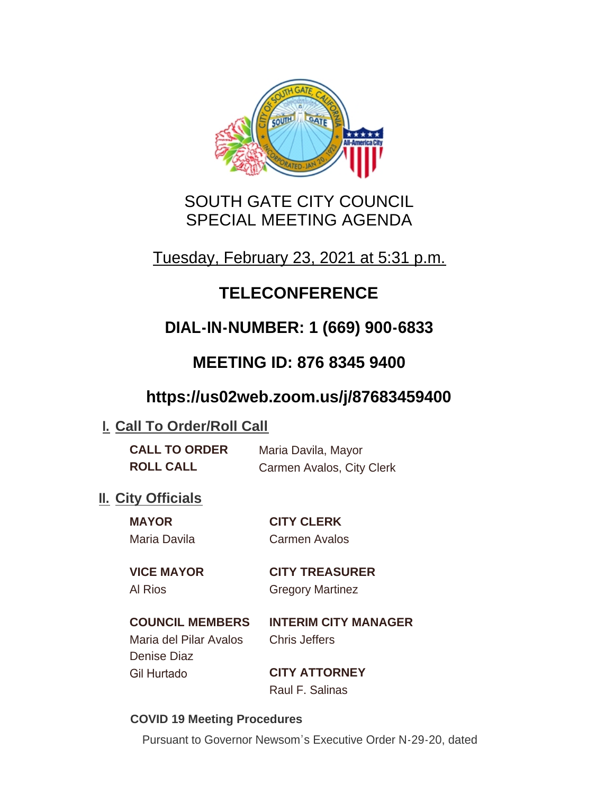

## SOUTH GATE CITY COUNCIL SPECIAL MEETING AGENDA

Tuesday, February 23, 2021 at 5:31 p.m.

# **TELECONFERENCE**

# **DIAL-IN-NUMBER: 1 (669) 900-6833**

## **MEETING ID: 876 8345 9400**

## **https://us02web.zoom.us/j/87683459400**

### **I. Call To Order/Roll Call**

| <b>CALL TO ORDER</b> | Maria Davila, Mayor       |
|----------------------|---------------------------|
| <b>ROLL CALL</b>     | Carmen Avalos, City Clerk |

### **II.** City Officials

| <b>MAYOR</b>      | <b>CITY CLERK</b>     |
|-------------------|-----------------------|
| Maria Davila      | Carmen Avalos         |
| <b>VICE MAYOR</b> | <b>CITY TREASURER</b> |

## Al Rios Gregory Martinez

### **COUNCIL MEMBERS INTERIM CITY MANAGER**

Maria del Pilar Avalos Chris Jeffers Denise Diaz Gil Hurtado **CITY ATTORNEY**

Raul F. Salinas

### **COVID 19 Meeting Procedures**

Pursuant to Governor Newsom's Executive Order N-29-20, dated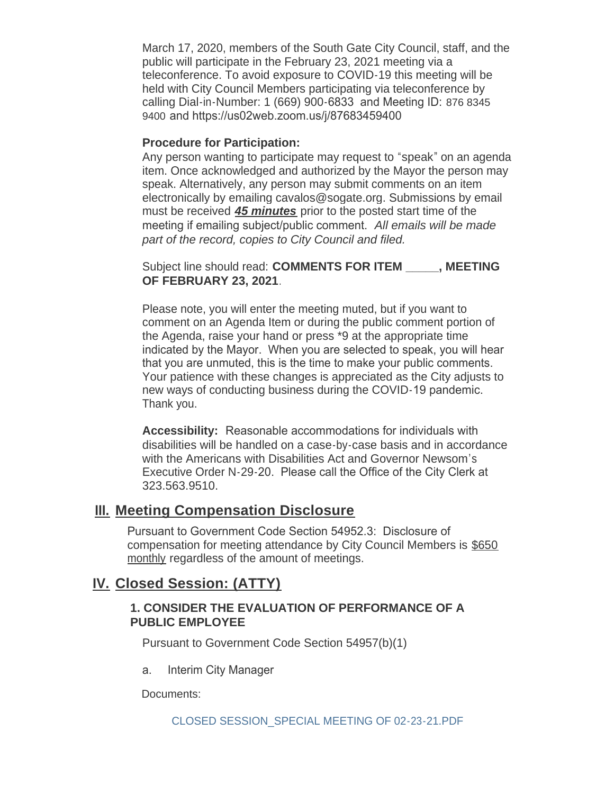March 17, 2020, members of the South Gate City Council, staff, and the public will participate in the February 23, 2021 meeting via a teleconference. To avoid exposure to COVID-19 this meeting will be held with City Council Members participating via teleconference by calling Dial-in-Number: 1 (669) 900-6833 and Meeting ID: 876 8345 9400 and https://us02web.zoom.us/j/87683459400

#### **Procedure for Participation:**

Any person wanting to participate may request to "speak" on an agenda item. Once acknowledged and authorized by the Mayor the person may speak. Alternatively, any person may submit comments on an item electronically by emailing cavalos@sogate.org. Submissions by email must be received *45 minutes* prior to the posted start time of the meeting if emailing subject/public comment. *All emails will be made part of the record, copies to City Council and filed.*

Subject line should read: **COMMENTS FOR ITEM \_\_\_\_\_, MEETING OF FEBRUARY 23, 2021**.

Please note, you will enter the meeting muted, but if you want to comment on an Agenda Item or during the public comment portion of the Agenda, raise your hand or press \*9 at the appropriate time indicated by the Mayor. When you are selected to speak, you will hear that you are unmuted, this is the time to make your public comments. Your patience with these changes is appreciated as the City adjusts to new ways of conducting business during the COVID-19 pandemic. Thank you.

**Accessibility:** Reasonable accommodations for individuals with disabilities will be handled on a case-by-case basis and in accordance with the Americans with Disabilities Act and Governor Newsom's Executive Order N-29-20. Please call the Office of the City Clerk at 323.563.9510.

### **Meeting Compensation Disclosure III.**

Pursuant to Government Code Section 54952.3: Disclosure of compensation for meeting attendance by City Council Members is \$650 monthly regardless of the amount of meetings.

### **Closed Session: (ATTY) IV.**

#### **1. CONSIDER THE EVALUATION OF PERFORMANCE OF A PUBLIC EMPLOYEE**

Pursuant to Government Code Section 54957(b)(1)

a. Interim City Manager

Documents: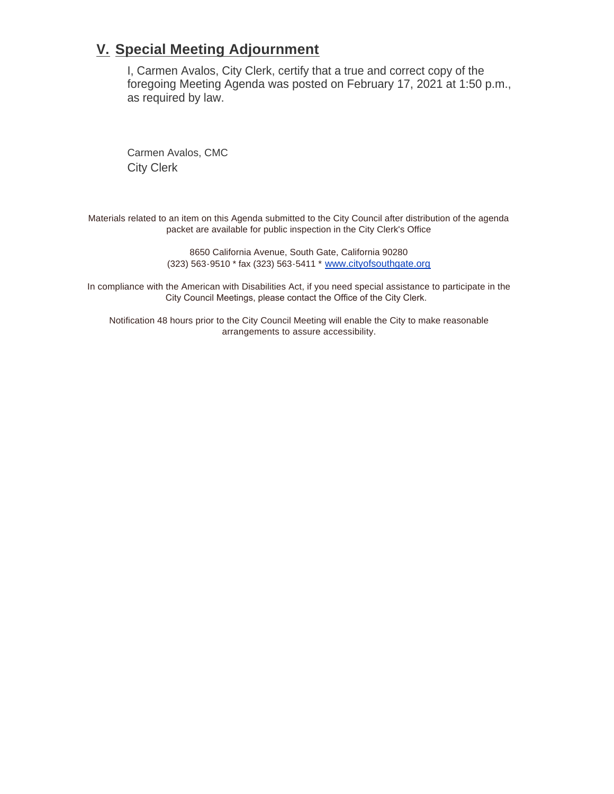### **Special Meeting Adjournment V.**

I, Carmen Avalos, City Clerk, certify that a true and correct copy of the foregoing Meeting Agenda was posted on February 17, 2021 at 1:50 p.m., as required by law.

Carmen Avalos, CMC City Clerk

Materials related to an item on this Agenda submitted to the City Council after distribution of the agenda packet are available for public inspection in the City Clerk's Office

> 8650 California Avenue, South Gate, California 90280 (323) 563-9510 \* fax (323) 563-5411 \* [www.cityofsouthgate.org](http://www.cityofsouthgate.org/)

In compliance with the American with Disabilities Act, if you need special assistance to participate in the City Council Meetings, please contact the Office of the City Clerk.

Notification 48 hours prior to the City Council Meeting will enable the City to make reasonable arrangements to assure accessibility.